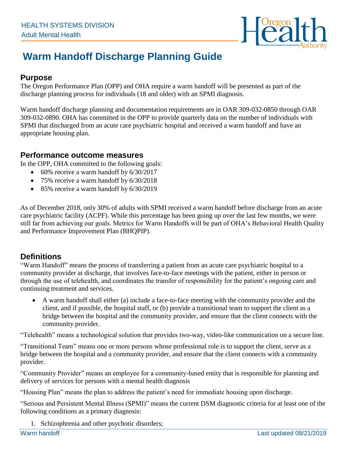

# **Warm Handoff Discharge Planning Guide**

## **Purpose**

The Oregon Performance Plan (OPP) and OHA require a warm handoff will be presented as part of the discharge planning process for individuals (18 and older) with an SPMI diagnosis.

Warm handoff discharge planning and documentation requirements are in OAR 309-032-0850 through OAR 309-032-0890. OHA has committed in the OPP to provide quarterly data on the number of individuals with SPMI that discharged from an acute care psychiatric hospital and received a warm handoff and have an appropriate housing plan.

### **Performance outcome measures**

In the OPP, OHA committed to the following goals:

- 60% receive a warm handoff by 6/30/2017
- 75% receive a warm handoff by 6/30/2018
- 85% receive a warm handoff by 6/30/2019

As of December 2018, only 30% of adults with SPMI received a warm handoff before discharge from an acute care psychiatric facility (ACPF). While this percentage has been going up over the last few months, we were still far from achieving our goals. Metrics for Warm Handoffs will be part of OHA's Behavioral Health Quality and Performance Improvement Plan (BHQPIP).

# **Definitions**

"Warm Handoff" means the process of transferring a patient from an acute care psychiatric hospital to a community provider at discharge, that involves face-to-face meetings with the patient, either in person or through the use of telehealth, and coordinates the transfer of responsibility for the patient's ongoing care and continuing treatment and services.

• A warm handoff shall either (a) include a face-to-face meeting with the community provider and the client, and if possible, the hospital staff, or (b) provide a transitional team to support the client as a bridge between the hospital and the community provider, and ensure that the client connects with the community provider.

"Telehealth" means a technological solution that provides two-way, video-like communication on a secure line.

"Transitional Team" means one or more persons whose professional role is to support the client, serve as a bridge between the hospital and a community provider, and ensure that the client connects with a community provider.

"Community Provider" means an employee for a community-based entity that is responsible for planning and delivery of services for persons with a mental health diagnosis

"Housing Plan" means the plan to address the patient's need for immediate housing upon discharge.

"Serious and Persistent Mental Illness (SPMI)" means the current DSM diagnostic criteria for at least one of the following conditions as a primary diagnosis:

1. Schizophrenia and other psychotic disorders;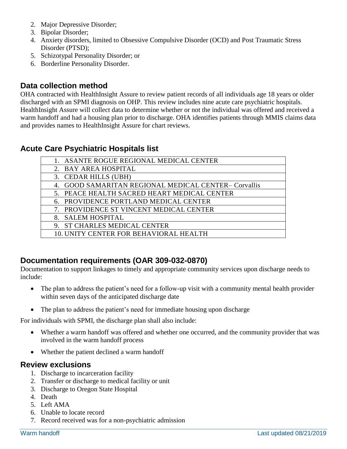- 2. Major Depressive Disorder;
- 3. Bipolar Disorder;
- 4. Anxiety disorders, limited to Obsessive Compulsive Disorder (OCD) and Post Traumatic Stress Disorder (PTSD);
- 5. Schizotypal Personality Disorder; or
- 6. Borderline Personality Disorder.

## **Data collection method**

OHA contracted with HealthInsight Assure to review patient records of all individuals age 18 years or older discharged with an SPMI diagnosis on OHP. This review includes nine acute care psychiatric hospitals. HealthInsight Assure will collect data to determine whether or not the individual was offered and received a warm handoff and had a housing plan prior to discharge. OHA identifies patients through MMIS claims data and provides names to HealthInsight Assure for chart reviews.

## **Acute Care Psychiatric Hospitals list**

## **Documentation requirements (OAR 309-032-0870)**

Documentation to support linkages to timely and appropriate community services upon discharge needs to include:

- The plan to address the patient's need for a follow-up visit with a community mental health provider within seven days of the anticipated discharge date
- The plan to address the patient's need for immediate housing upon discharge

For individuals with SPMI, the discharge plan shall also include:

- Whether a warm handoff was offered and whether one occurred, and the community provider that was involved in the warm handoff process
- Whether the patient declined a warm handoff

#### **Review exclusions**

- 1. Discharge to incarceration facility
- 2. Transfer or discharge to medical facility or unit
- 3. Discharge to Oregon State Hospital
- 4. Death
- 5. Left AMA
- 6. Unable to locate record
- 7. Record received was for a non-psychiatric admission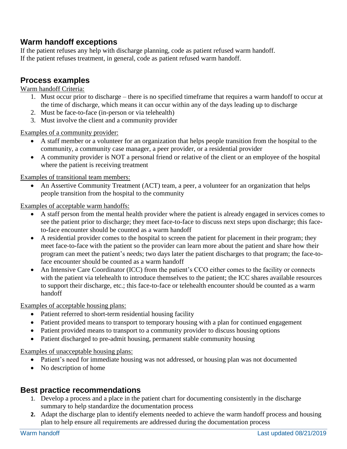# **Warm handoff exceptions**

If the patient refuses any help with discharge planning, code as patient refused warm handoff. If the patient refuses treatment, in general, code as patient refused warm handoff.

## **Process examples**

#### Warm handoff Criteria:

- 1. Must occur prior to discharge there is no specified timeframe that requires a warm handoff to occur at the time of discharge, which means it can occur within any of the days leading up to discharge
- 2. Must be face-to-face (in-person or via telehealth)
- 3. Must involve the client and a community provider

Examples of a community provider:

- A staff member or a volunteer for an organization that helps people transition from the hospital to the community, a community case manager, a peer provider, or a residential provider
- A community provider is NOT a personal friend or relative of the client or an employee of the hospital where the patient is receiving treatment

Examples of transitional team members:

• An Assertive Community Treatment (ACT) team, a peer, a volunteer for an organization that helps people transition from the hospital to the community

Examples of acceptable warm handoffs:

- A staff person from the mental health provider where the patient is already engaged in services comes to see the patient prior to discharge; they meet face-to-face to discuss next steps upon discharge; this faceto-face encounter should be counted as a warm handoff
- A residential provider comes to the hospital to screen the patient for placement in their program; they meet face-to-face with the patient so the provider can learn more about the patient and share how their program can meet the patient's needs; two days later the patient discharges to that program; the face-toface encounter should be counted as a warm handoff
- An Intensive Care Coordinator (ICC) from the patient's CCO either comes to the facility or connects with the patient via telehealth to introduce themselves to the patient; the ICC shares available resources to support their discharge, etc.; this face-to-face or telehealth encounter should be counted as a warm handoff

Examples of acceptable housing plans:

- Patient referred to short-term residential housing facility
- Patient provided means to transport to temporary housing with a plan for continued engagement
- Patient provided means to transport to a community provider to discuss housing options
- Patient discharged to pre-admit housing, permanent stable community housing

#### Examples of unacceptable housing plans:

- Patient's need for immediate housing was not addressed, or housing plan was not documented
- No description of home

## **Best practice recommendations**

- 1. Develop a process and a place in the patient chart for documenting consistently in the discharge summary to help standardize the documentation process
- **2.** Adapt the discharge plan to identify elements needed to achieve the warm handoff process and housing plan to help ensure all requirements are addressed during the documentation process